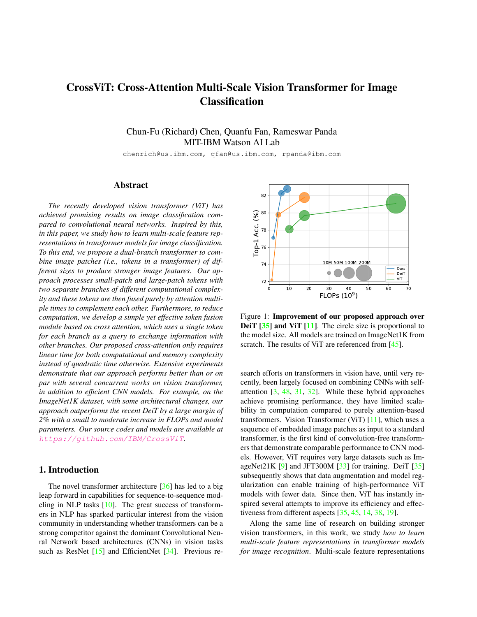# CrossViT: Cross-Attention Multi-Scale Vision Transformer for Image Classification

Chun-Fu (Richard) Chen, Quanfu Fan, Rameswar Panda MIT-IBM Watson AI Lab

chenrich@us.ibm.com, qfan@us.ibm.com, rpanda@ibm.com

## Abstract

*The recently developed vision transformer (ViT) has achieved promising results on image classification compared to convolutional neural networks. Inspired by this, in this paper, we study how to learn multi-scale feature representations in transformer models for image classification. To this end, we propose a dual-branch transformer to combine image patches (i.e., tokens in a transformer) of different sizes to produce stronger image features. Our approach processes small-patch and large-patch tokens with two separate branches of different computational complexity and these tokens are then fused purely by attention multiple times to complement each other. Furthermore, to reduce computation, we develop a simple yet effective token fusion module based on cross attention, which uses a single token for each branch as a query to exchange information with other branches. Our proposed cross-attention only requires linear time for both computational and memory complexity instead of quadratic time otherwise. Extensive experiments demonstrate that our approach performs better than or on par with several concurrent works on vision transformer, in addition to efficient CNN models. For example, on the ImageNet1K dataset, with some architectural changes, our approach outperforms the recent DeiT by a large margin of 2% with a small to moderate increase in FLOPs and model parameters. Our source codes and models are available at* https://github.com/IBM/CrossViT*.*

## 1. Introduction

The novel transformer architecture [36] has led to a big leap forward in capabilities for sequence-to-sequence modeling in NLP tasks  $[10]$ . The great success of transformers in NLP has sparked particular interest from the vision community in understanding whether transformers can be a strong competitor against the dominant Convolutional Neural Network based architectures (CNNs) in vision tasks such as ResNet [15] and EfficientNet [34]. Previous re-



Figure 1: Improvement of our proposed approach over DeiT [35] and ViT [11]. The circle size is proportional to the model size. All models are trained on ImageNet1K from scratch. The results of ViT are referenced from [45].

search efforts on transformers in vision have, until very recently, been largely focused on combining CNNs with selfattention [3, 48, 31, 32]. While these hybrid approaches achieve promising performance, they have limited scalability in computation compared to purely attention-based transformers. Vision Transformer (ViT)  $[11]$ , which uses a sequence of embedded image patches as input to a standard transformer, is the first kind of convolution-free transformers that demonstrate comparable performance to CNN models. However, ViT requires very large datasets such as ImageNet21K  $[9]$  and JFT300M  $[33]$  for training. DeiT  $[35]$ subsequently shows that data augmentation and model regularization can enable training of high-performance ViT models with fewer data. Since then, ViT has instantly inspired several attempts to improve its efficiency and effectiveness from different aspects [35, 45, 14, 38, 19].

Along the same line of research on building stronger vision transformers, in this work, we study *how to learn multi-scale feature representations in transformer models for image recognition*. Multi-scale feature representations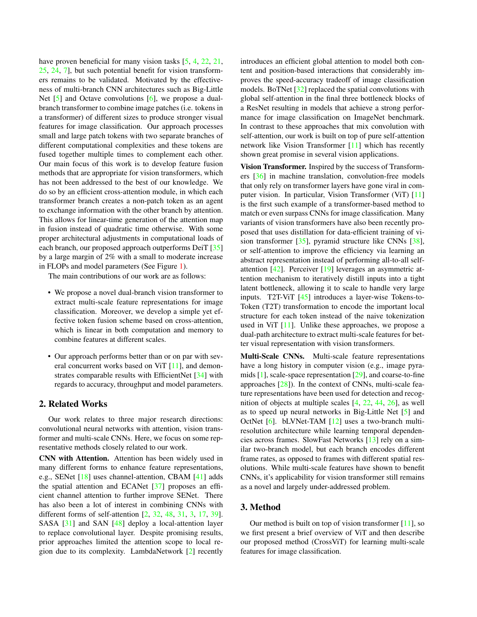have proven beneficial for many vision tasks [5, 4, 22, 21, 25, 24, 7], but such potential benefit for vision transformers remains to be validated. Motivated by the effectiveness of multi-branch CNN architectures such as Big-Little Net [5] and Octave convolutions [6], we propose a dualbranch transformer to combine image patches (i.e. tokens in a transformer) of different sizes to produce stronger visual features for image classification. Our approach processes small and large patch tokens with two separate branches of different computational complexities and these tokens are fused together multiple times to complement each other. Our main focus of this work is to develop feature fusion methods that are appropriate for vision transformers, which has not been addressed to the best of our knowledge. We do so by an efficient cross-attention module, in which each transformer branch creates a non-patch token as an agent to exchange information with the other branch by attention. This allows for linear-time generation of the attention map in fusion instead of quadratic time otherwise. With some proper architectural adjustments in computational loads of each branch, our proposed approach outperforms DeiT [35] by a large margin of 2% with a small to moderate increase in FLOPs and model parameters (See Figure 1).

The main contributions of our work are as follows:

- We propose a novel dual-branch vision transformer to extract multi-scale feature representations for image classification. Moreover, we develop a simple yet effective token fusion scheme based on cross-attention, which is linear in both computation and memory to combine features at different scales.
- Our approach performs better than or on par with several concurrent works based on ViT [11], and demonstrates comparable results with EfficientNet [34] with regards to accuracy, throughput and model parameters.

## 2. Related Works

Our work relates to three major research directions: convolutional neural networks with attention, vision transformer and multi-scale CNNs. Here, we focus on some representative methods closely related to our work.

CNN with Attention. Attention has been widely used in many different forms to enhance feature representations, e.g., SENet [18] uses channel-attention, CBAM [41] adds the spatial attention and ECANet [37] proposes an efficient channel attention to further improve SENet. There has also been a lot of interest in combining CNNs with different forms of self-attention [2, 32, 48, 31, 3, 17, 39]. SASA [31] and SAN [48] deploy a local-attention layer to replace convolutional layer. Despite promising results, prior approaches limited the attention scope to local region due to its complexity. LambdaNetwork [2] recently introduces an efficient global attention to model both content and position-based interactions that considerably improves the speed-accuracy tradeoff of image classification models. BoTNet [32] replaced the spatial convolutions with global self-attention in the final three bottleneck blocks of a ResNet resulting in models that achieve a strong performance for image classification on ImageNet benchmark. In contrast to these approaches that mix convolution with self-attention, our work is built on top of pure self-attention network like Vision Transformer [11] which has recently shown great promise in several vision applications.

Vision Transformer. Inspired by the success of Transformers [36] in machine translation, convolution-free models that only rely on transformer layers have gone viral in computer vision. In particular, Vision Transformer (ViT) [11] is the first such example of a transformer-based method to match or even surpass CNNs for image classification. Many variants of vision transformers have also been recently proposed that uses distillation for data-efficient training of vision transformer [35], pyramid structure like CNNs [38], or self-attention to improve the efficiency via learning an abstract representation instead of performing all-to-all selfattention [42]. Perceiver [19] leverages an asymmetric attention mechanism to iteratively distill inputs into a tight latent bottleneck, allowing it to scale to handle very large inputs. T2T-ViT [45] introduces a layer-wise Tokens-to-Token (T2T) transformation to encode the important local structure for each token instead of the naive tokenization used in ViT  $[11]$ . Unlike these approaches, we propose a dual-path architecture to extract multi-scale features for better visual representation with vision transformers.

Multi-Scale CNNs. Multi-scale feature representations have a long history in computer vision (e.g., image pyramids [1], scale-space representation [29], and coarse-to-fine approaches [28]). In the context of CNNs, multi-scale feature representations have been used for detection and recognition of objects at multiple scales [4, 22, 44, 26], as well as to speed up neural networks in Big-Little Net [5] and OctNet [6]. bLVNet-TAM [12] uses a two-branch multiresolution architecture while learning temporal dependencies across frames. SlowFast Networks [13] rely on a similar two-branch model, but each branch encodes different frame rates, as opposed to frames with different spatial resolutions. While multi-scale features have shown to benefit CNNs, it's applicability for vision transformer still remains as a novel and largely under-addressed problem.

## 3. Method

Our method is built on top of vision transformer  $[11]$ , so we first present a brief overview of ViT and then describe our proposed method (CrossViT) for learning multi-scale features for image classification.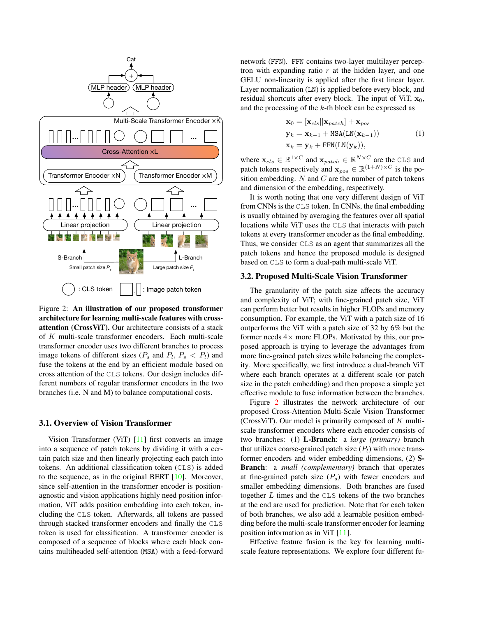

Figure 2: An illustration of our proposed transformer architecture for learning multi-scale features with crossattention (CrossViT). Our architecture consists of a stack of K multi-scale transformer encoders. Each multi-scale transformer encoder uses two different branches to process image tokens of different sizes  $(P_s \text{ and } P_l, P_s < P_l)$  and fuse the tokens at the end by an efficient module based on cross attention of the CLS tokens. Our design includes different numbers of regular transformer encoders in the two branches (i.e. N and M) to balance computational costs.

## 3.1. Overview of Vision Transformer

Vision Transformer (ViT)  $[11]$  first converts an image into a sequence of patch tokens by dividing it with a certain patch size and then linearly projecting each patch into tokens. An additional classification token (CLS) is added to the sequence, as in the original BERT [10]. Moreover, since self-attention in the transformer encoder is positionagnostic and vision applications highly need position information, ViT adds position embedding into each token, including the CLS token. Afterwards, all tokens are passed through stacked transformer encoders and finally the CLS token is used for classification. A transformer encoder is composed of a sequence of blocks where each block contains multiheaded self-attention (MSA) with a feed-forward network (FFN). FFN contains two-layer multilayer perceptron with expanding ratio  $r$  at the hidden layer, and one GELU non-linearity is applied after the first linear layer. Layer normalization (LN) is applied before every block, and residual shortcuts after every block. The input of ViT,  $x_0$ , and the processing of the k-th block can be expressed as

$$
\mathbf{x}_0 = [\mathbf{x}_{cls} || \mathbf{x}_{patch}] + \mathbf{x}_{pos}
$$
  
\n
$$
\mathbf{y}_k = \mathbf{x}_{k-1} + \text{MSA}(\text{LN}(\mathbf{x}_{k-1}))
$$
  
\n
$$
\mathbf{x}_k = \mathbf{y}_k + \text{FFN}(\text{LN}(\mathbf{y}_k)),
$$
\n(1)

where  $\mathbf{x}_{cls} \in \mathbb{R}^{1 \times C}$  and  $\mathbf{x}_{patch} \in \mathbb{R}^{N \times C}$  are the CLS and patch tokens respectively and  $\mathbf{x}_{pos} \in \mathbb{R}^{(1+N)\times C}$  is the position embedding.  $N$  and  $C$  are the number of patch tokens and dimension of the embedding, respectively.

It is worth noting that one very different design of ViT from CNNs is the CLS token. In CNNs, the final embedding is usually obtained by averaging the features over all spatial locations while ViT uses the CLS that interacts with patch tokens at every transformer encoder as the final embedding. Thus, we consider CLS as an agent that summarizes all the patch tokens and hence the proposed module is designed based on CLS to form a dual-path multi-scale ViT.

#### 3.2. Proposed Multi-Scale Vision Transformer

The granularity of the patch size affects the accuracy and complexity of ViT; with fine-grained patch size, ViT can perform better but results in higher FLOPs and memory consumption. For example, the ViT with a patch size of 16 outperforms the ViT with a patch size of 32 by 6% but the former needs  $4\times$  more FLOPs. Motivated by this, our proposed approach is trying to leverage the advantages from more fine-grained patch sizes while balancing the complexity. More specifically, we first introduce a dual-branch ViT where each branch operates at a different scale (or patch size in the patch embedding) and then propose a simple yet effective module to fuse information between the branches.

Figure 2 illustrates the network architecture of our proposed Cross-Attention Multi-Scale Vision Transformer (CrossViT). Our model is primarily composed of  $K$  multiscale transformer encoders where each encoder consists of two branches: (1) L-Branch: a *large (primary)* branch that utilizes coarse-grained patch size  $(P_l)$  with more transformer encoders and wider embedding dimensions, (2) S-Branch: a *small (complementary)* branch that operates at fine-grained patch size  $(P_s)$  with fewer encoders and smaller embedding dimensions. Both branches are fused together L times and the CLS tokens of the two branches at the end are used for prediction. Note that for each token of both branches, we also add a learnable position embedding before the multi-scale transformer encoder for learning position information as in ViT [11].

Effective feature fusion is the key for learning multiscale feature representations. We explore four different fu-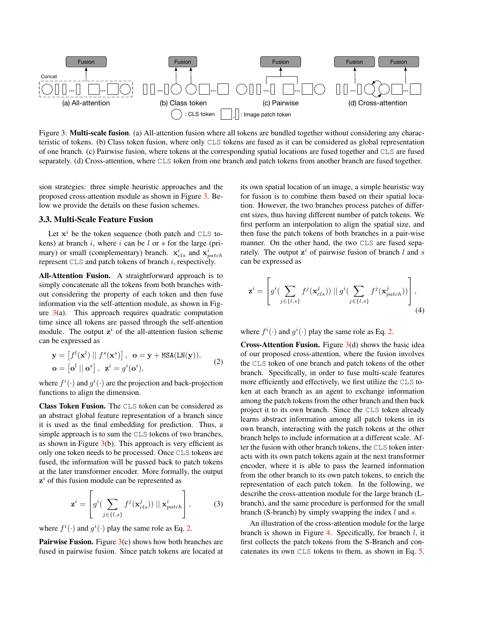

Figure 3: Multi-scale fusion. (a) All-attention fusion where all tokens are bundled together without considering any characteristic of tokens. (b) Class token fusion, where only CLS tokens are fused as it can be considered as global representation of one branch. (c) Pairwise fusion, where tokens at the corresponding spatial locations are fused together and CLS are fused separately. (d) Cross-attention, where CLS token from one branch and patch tokens from another branch are fused together.

sion strategies: three simple heuristic approaches and the proposed cross-attention module as shown in Figure 3. Below we provide the details on these fusion schemes.

#### 3.3. Multi-Scale Feature Fusion

Let  $x^i$  be the token sequence (both patch and CLS tokens) at branch  $i$ , where  $i$  can be  $l$  or  $s$  for the large (primary) or small (complementary) branch.  $\mathbf{x}_{cls}^{i}$  and  $\mathbf{x}_{patch}^{i}$ represent CLS and patch tokens of branch i, respectively.

All-Attention Fusion. A straightforward approach is to simply concatenate all the tokens from both branches without considering the property of each token and then fuse information via the self-attention module, as shown in Figure  $3(a)$ . This approach requires quadratic computation time since all tokens are passed through the self-attention module. The output  $z^i$  of the all-attention fusion scheme can be expressed as

$$
\mathbf{y} = \begin{bmatrix} f^l(\mathbf{x}^l) \mid f^s(\mathbf{x}^s) \end{bmatrix}, \quad \mathbf{o} = \mathbf{y} + \text{MSA}(\text{LN}(\mathbf{y})),
$$
  
\n
$$
\mathbf{o} = \begin{bmatrix} \mathbf{o}^l \mid \mathbf{o}^s \end{bmatrix}, \quad \mathbf{z}^i = g^i(\mathbf{o}^i),
$$
 (2)

where  $f^i(\cdot)$  and  $g^i(\cdot)$  are the projection and back-projection functions to align the dimension.

Class Token Fusion. The CLS token can be considered as an abstract global feature representation of a branch since it is used as the final embedding for prediction. Thus, a simple approach is to sum the CLS tokens of two branches, as shown in Figure  $3(b)$ . This approach is very efficient as only one token needs to be processed. Once CLS tokens are fused, the information will be passed back to patch tokens at the later transformer encoder. More formally, the output  $z^i$  of this fusion module can be represented as

$$
\mathbf{z}^{i} = \left[ g^{i} \left( \sum_{j \in \{l,s\}} f^{j}(\mathbf{x}_{cls}^{j}) \right) || \mathbf{x}_{patch}^{i} \right], \tag{3}
$$

where  $f^i(\cdot)$  and  $g^i(\cdot)$  play the same role as Eq. 2.

**Pairwise Fusion.** Figure  $3(c)$  shows how both branches are fused in pairwise fusion. Since patch tokens are located at its own spatial location of an image, a simple heuristic way for fusion is to combine them based on their spatial location. However, the two branches process patches of different sizes, thus having different number of patch tokens. We first perform an interpolation to align the spatial size, and then fuse the patch tokens of both branches in a pair-wise manner. On the other hand, the two CLS are fused separately. The output  $z^i$  of pairwise fusion of branch l and s can be expressed as

$$
\mathbf{z}^{i} = \left[ g^{i} \left( \sum_{j \in \{l,s\}} f^{j}(\mathbf{x}_{cls}^{j}) \right) || g^{i} \left( \sum_{j \in \{l,s\}} f^{j}(\mathbf{x}_{patch}^{j}) \right) \right], \tag{4}
$$

where  $f^i(\cdot)$  and  $g^i(\cdot)$  play the same role as Eq. 2.

**Cross-Attention Fusion.** Figure  $3(d)$  shows the basic idea of our proposed cross-attention, where the fusion involves the CLS token of one branch and patch tokens of the other branch. Specifically, in order to fuse multi-scale features more efficiently and effectively, we first utilize the CLS token at each branch as an agent to exchange information among the patch tokens from the other branch and then back project it to its own branch. Since the CLS token already learns abstract information among all patch tokens in its own branch, interacting with the patch tokens at the other branch helps to include information at a different scale. After the fusion with other branch tokens, the CLS token interacts with its own patch tokens again at the next transformer encoder, where it is able to pass the learned information from the other branch to its own patch tokens, to enrich the representation of each patch token. In the following, we describe the cross-attention module for the large branch (Lbranch), and the same procedure is performed for the small branch (S-branch) by simply swapping the index  $l$  and  $s$ .

An illustration of the cross-attention module for the large branch is shown in Figure 4. Specifically, for branch  $l$ , it first collects the patch tokens from the S-Branch and concatenates its own CLS tokens to them, as shown in Eq. 5.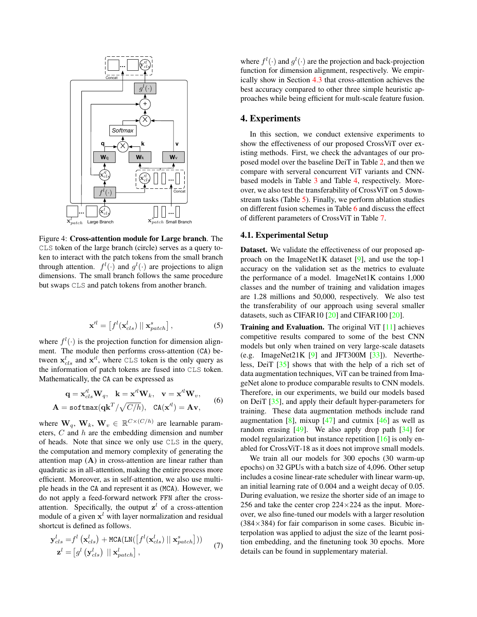

Figure 4: Cross-attention module for Large branch. The CLS token of the large branch (circle) serves as a query token to interact with the patch tokens from the small branch through attention.  $f^l(\cdot)$  and  $g^l(\cdot)$  are projections to align dimensions. The small branch follows the same procedure but swaps CLS and patch tokens from another branch.

$$
\mathbf{x}'^l = \left[ f^l(\mathbf{x}_{cls}^l) \mid \mathbf{x}_{patch}^s \right],\tag{5}
$$

where  $f^l(\cdot)$  is the projection function for dimension alignment. The module then performs cross-attention (CA) between  $\mathbf{x}_{cls}^{l}$  and  $\mathbf{x}'^{l}$ , where CLS token is the only query as the information of patch tokens are fused into CLS token. Mathematically, the CA can be expressed as

$$
\mathbf{q} = \mathbf{x}_{cls}^{\prime l} \mathbf{W}_q, \quad \mathbf{k} = \mathbf{x}^{\prime l} \mathbf{W}_k, \quad \mathbf{v} = \mathbf{x}^{\prime l} \mathbf{W}_v,
$$
  

$$
\mathbf{A} = \text{softmax}(\mathbf{q} \mathbf{k}^T / \sqrt{C/h}), \quad \text{CA}(\mathbf{x}^{\prime l}) = \mathbf{A} \mathbf{v},
$$
 (6)

where  $\mathbf{W}_q$ ,  $\mathbf{W}_k$ ,  $\mathbf{W}_v \in \mathbb{R}^{C \times (C/h)}$  are learnable parameters, C and h are the embedding dimension and number of heads. Note that since we only use CLS in the query, the computation and memory complexity of generating the attention map  $(A)$  in cross-attention are linear rather than quadratic as in all-attention, making the entire process more efficient. Moreover, as in self-attention, we also use multiple heads in the CA and represent it as (MCA). However, we do not apply a feed-forward network FFN after the crossattention. Specifically, the output  $z<sup>l</sup>$  of a cross-attention module of a given  $x^{l}$  with layer normalization and residual shortcut is defined as follows.

$$
\mathbf{y}_{cls}^{l} = f^{l}(\mathbf{x}_{cls}^{l}) + \text{MCA}(\text{LN}([\int f^{l}(\mathbf{x}_{cls}^{l}) || \mathbf{x}_{patch}^{s}]))
$$
\n
$$
\mathbf{z}^{l} = [g^{l}(\mathbf{y}_{cls}^{l}) || \mathbf{x}_{patch}^{l}],
$$
\n(7)

where  $f^l(\cdot)$  and  $g^l(\cdot)$  are the projection and back-projection function for dimension alignment, respectively. We empirically show in Section 4.3 that cross-attention achieves the best accuracy compared to other three simple heuristic approaches while being efficient for mult-scale feature fusion.

### 4. Experiments

In this section, we conduct extensive experiments to show the effectiveness of our proposed CrossViT over existing methods. First, we check the advantages of our proposed model over the baseline DeiT in Table 2, and then we compare with serveral concurrent ViT variants and CNNbased models in Table 3 and Table 4, respectively. Moreover, we also test the transferability of CrossViT on 5 downstream tasks (Table 5). Finally, we perform ablation studies on different fusion schemes in Table 6 and discuss the effect of different parameters of CrossViT in Table 7.

## 4.1. Experimental Setup

Dataset. We validate the effectiveness of our proposed approach on the ImageNet1K dataset [9], and use the top-1 accuracy on the validation set as the metrics to evaluate the performance of a model. ImageNet1K contains 1,000 classes and the number of training and validation images are 1.28 millions and 50,000, respectively. We also test the transferability of our approach using several smaller datasets, such as CIFAR10 [20] and CIFAR100 [20].

Training and Evaluation. The original ViT [11] achieves competitive results compared to some of the best CNN models but only when trained on very large-scale datasets (e.g. ImageNet21K  $[9]$  and JFT300M  $[33]$ ). Nevertheless, DeiT [35] shows that with the help of a rich set of data augmentation techniques, ViT can be trained from ImageNet alone to produce comparable results to CNN models. Therefore, in our experiments, we build our models based on DeiT [35], and apply their default hyper-parameters for training. These data augmentation methods include rand augmentation  $[8]$ , mixup  $[47]$  and cutmix  $[46]$  as well as random erasing  $[49]$ . We also apply drop path  $[34]$  for model regularization but instance repetition [16] is only enabled for CrossViT-18 as it does not improve small models.

We train all our models for 300 epochs (30 warm-up epochs) on 32 GPUs with a batch size of 4,096. Other setup includes a cosine linear-rate scheduler with linear warm-up, an initial learning rate of 0.004 and a weight decay of 0.05. During evaluation, we resize the shorter side of an image to 256 and take the center crop  $224\times224$  as the input. Moreover, we also fine-tuned our models with a larger resolution  $(384\times384)$  for fair comparison in some cases. Bicubic interpolation was applied to adjust the size of the learnt position embedding, and the finetuning took 30 epochs. More details can be found in supplementary material.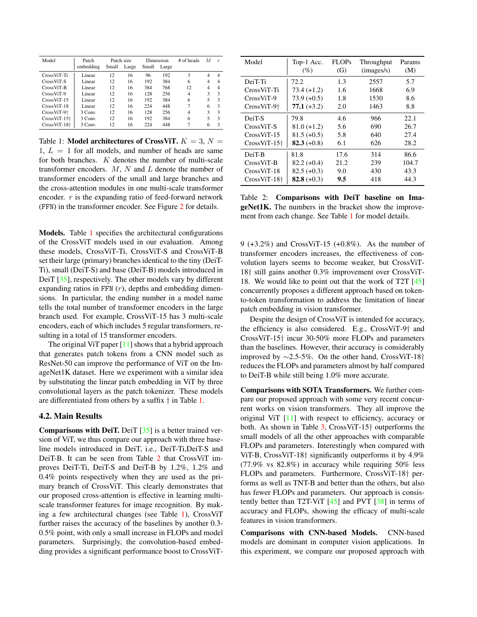| Model               | Patch     |       | Patch size |       | Dimension | # of heads | M                        | $\boldsymbol{r}$ |
|---------------------|-----------|-------|------------|-------|-----------|------------|--------------------------|------------------|
|                     | embedding | Small | Large      | Small | Large     |            |                          |                  |
| CrossViT-Ti         | Linear    | 12    | 16         | 96    | 192       | 3          | 4                        | 4                |
| CrossViT-S          | Linear    | 12    | 16         | 192   | 384       | 6          | 4                        | 4                |
| CrossViT-B          | Linear    | 12    | 16         | 384   | 768       | 12         | $\overline{4}$           | 4                |
| CrossViT-9          | Linear    | 12    | 16         | 128   | 256       | 4          | 3                        | 3                |
| $CrossViT-15$       | Linear    | 12    | 16         | 192   | 384       | 6          | $\overline{\phantom{0}}$ | $\mathbf{3}$     |
| $CrossViT-18$       | Linear    | 12    | 16         | 224   | 448       |            | 6                        | 3                |
| $CrossViT-9\dagger$ | 3 Conv.   | 12    | 16         | 128   | 256       | 4          | 3                        | 3                |
| $CrossViT-15+$      | 3 Conv.   | 12    | 16         | 192   | 384       | 6          | 5                        | 3                |
| $CrossViT-18+$      | 3 Conv.   | 12    | 16         | 224   | 448       |            | 6                        | 3                |

Table 1: Model architectures of CrossViT.  $K = 3$ ,  $N =$  $1, L = 1$  for all models, and number of heads are same for both branches. K denotes the number of multi-scale transformer encoders.  $M$ ,  $N$  and  $L$  denote the number of transformer encoders of the small and large branches and the cross-attention modules in one multi-scale transformer encoder.  $r$  is the expanding ratio of feed-forward network (FFN) in the transformer encoder. See Figure 2 for details.

Models. Table 1 specifies the architectural configurations of the CrossViT models used in our evaluation. Among these models, CrossViT-Ti, CrossViT-S and CrossViT-B set their large (primary) branches identical to the tiny (DeiT-Ti), small (DeiT-S) and base (DeiT-B) models introduced in DeiT [35], respectively. The other models vary by different expanding ratios in FFN  $(r)$ , depths and embedding dimensions. In particular, the ending number in a model name tells the total number of transformer encoders in the large branch used. For example, CrossViT-15 has 3 multi-scale encoders, each of which includes 5 regular transformers, resulting in a total of 15 transformer encoders.

The original ViT paper  $[11]$  shows that a hybrid approach that generates patch tokens from a CNN model such as ResNet-50 can improve the performance of ViT on the ImageNet1K dataset. Here we experiment with a similar idea by substituting the linear patch embedding in ViT by three convolutional layers as the patch tokenizer. These models are differentiated from others by a suffix † in Table 1.

### 4.2. Main Results

**Comparisons with DeiT.** DeiT  $[35]$  is a better trained version of ViT, we thus compare our approach with three baseline models introduced in DeiT, i.e., DeiT-Ti,DeiT-S and DeiT-B. It can be seen from Table 2 that CrossViT improves DeiT-Ti, DeiT-S and DeiT-B by 1.2%, 1.2% and 0.4% points respectively when they are used as the primary branch of CrossViT. This clearly demonstrates that our proposed cross-attention is effective in learning multiscale transformer features for image recognition. By making a few architectural changes (see Table 1), CrossViT further raises the accuracy of the baselines by another 0.3- 0.5% point, with only a small increase in FLOPs and model parameters. Surprisingly, the convolution-based embedding provides a significant performance boost to CrossViT-

| Model                      | Top-1 Acc.<br>(%) | FLOPs<br>(G) | Throughput<br>(images/s) | Params<br>(M) |
|----------------------------|-------------------|--------------|--------------------------|---------------|
| DeiT-Ti                    | 72.2              | 1.3          | 2557                     | 5.7           |
| CrossViT-Ti                | $73.4 (+1.2)$     | 1.6          | 1668                     | 6.9           |
| $CrossViT-9$               | $73.9 (+0.5)$     | 1.8          | 1530                     | 8.6           |
| $CrossViT-9\dagger$        | $77.1 (+3.2)$     | 2.0          | 1463                     | 8.8           |
| DeiT-S                     | 79.8              | 4.6          | 966                      | 22.1          |
| $CrossViT-S$               | $81.0 (+1.2)$     | 5.6          | 690                      | 26.7          |
| CrossViT-15                | $81.5 (+0.5)$     | 5.8          | 640                      | 27.4          |
| $CrossViT-15$ <sup>+</sup> | $82.3 (+0.8)$     | 6.1          | 626                      | 28.2          |
| DeiT-B                     | 81.8              | 17.6         | 314                      | 86.6          |
| $CrossViT-B$               | $82.2 (+0.4)$     | 21.2         | 239                      | 104.7         |
| $CrossViT-18$              | $82.5 (+0.3)$     | 9.0          | 430                      | 43.3          |
| $CrossViT-18\dagger$       | 82.8 $(+0.3)$     | 9.5          | 418                      | 44.3          |

Table 2: Comparisons with DeiT baseline on ImageNet1K. The numbers in the bracket show the improvement from each change. See Table 1 for model details.

9 (+3.2%) and CrossViT-15 (+0.8%). As the number of transformer encoders increases, the effectiveness of convolution layers seems to become weaker, but CrossViT-18† still gains another 0.3% improvement over CrossViT-18. We would like to point out that the work of T2T [45] concurrently proposes a different approach based on tokento-token transformation to address the limitation of linear patch embedding in vision transformer.

Despite the design of CrossViT is intended for accuracy, the efficiency is also considered. E.g., CrossViT-9† and CrossViT-15† incur 30-50% more FLOPs and parameters than the baselines. However, their accuracy is considerably improved by ∼2.5-5%. On the other hand, CrossViT-18† reduces the FLOPs and parameters almost by half compared to DeiT-B while still being 1.0% more accurate.

Comparisons with SOTA Transformers. We further compare our proposed approach with some very recent concurrent works on vision transformers. They all improve the original ViT [11] with respect to efficiency, accuracy or both. As shown in Table 3, CrossViT-15† outperforms the small models of all the other approaches with comparable FLOPs and parameters. Interestingly when compared with ViT-B, CrossViT-18† significantly outperforms it by 4.9% (77.9% vs 82.8%) in accuracy while requiring 50% less FLOPs and parameters. Furthermore, CrossViT-18† performs as well as TNT-B and better than the others, but also has fewer FLOPs and parameters. Our approach is consistently better than T2T-ViT [45] and PVT [38] in terms of accuracy and FLOPs, showing the efficacy of multi-scale features in vision transformers.

Comparisons with CNN-based Models. CNN-based models are dominant in computer vision applications. In this experiment, we compare our proposed approach with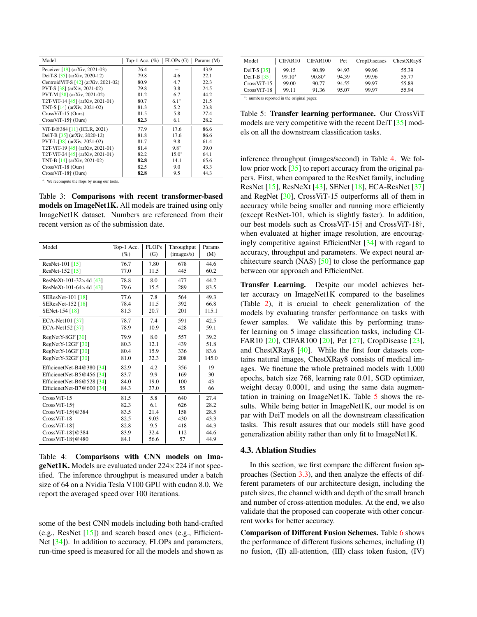| Model                                 | Top-1 Acc. $(\% )$ | FLOPs(G) | Params (M) |
|---------------------------------------|--------------------|----------|------------|
| Peceiver $[19]$ (arXiv, 2021-03)      | 76.4               |          | 43.9       |
| DeiT-S $[35]$ (arXiv, 2020-12)        | 79.8               | 4.6      | 22.1       |
| CentroidViT-S $[42]$ (arXiv, 2021-02) | 80.9               | 4.7      | 22.3       |
| PVT-S [38] (arXiv, 2021-02)           | 79.8               | 3.8      | 24.5       |
| PVT-M [38] (arXiv, 2021-02)           | 81.2               | 6.7      | 44.2       |
| T2T-ViT-14 $[45]$ (arXiv, 2021-01)    | 80.7               | $6.1*$   | 21.5       |
| TNT-S [14] (arXiv, 2021-02)           | 81.3               | 5.2      | 23.8       |
| $CrossViT-15$ (Ours)                  | 81.5               | 5.8      | 27.4       |
| $CrossViT-15+ (Ours)$                 | 82.3               | 6.1      | 28.2       |
| ViT-B@384 [11] (ICLR, 2021)           | 77.9               | 17.6     | 86.6       |
| DeiT-B $[35]$ (arXiv, 2020-12)        | 81.8               | 17.6     | 86.6       |
| PVT-L [38] (arXiv, 2021-02)           | 81.7               | 9.8      | 61.4       |
| T2T-ViT-19 $[45]$ (arXiv, 2021-01)    | 81.4               | $9.8*$   | 39.0       |
| T2T-ViT-24 $[45]$ (arXiv, 2021-01)    | 82.2               | $15.0*$  | 64.1       |
| TNT-B [14] (arXiv, 2021-02)           | 82.8               | 14.1     | 65.6       |
| CrossViT-18 (Ours)                    | 82.5               | 9.0      | 43.3       |
| $CrossViT-18+ (Ours)$                 | 82.8               | 9.5      | 44.3       |

<sup>∗</sup>: We recompute the flops by using our tools.

Table 3: Comparisons with recent transformer-based models on ImageNet1K. All models are trained using only ImageNet1K dataset. Numbers are referenced from their recent version as of the submission date.

| Model                           | Top-1 Acc. | <b>FLOPs</b> | Throughput | Params |
|---------------------------------|------------|--------------|------------|--------|
|                                 | $(\%)$     | (G)          | (images/s) | (M)    |
| ResNet-101 [15]                 | 76.7       | 7.80         | 678        | 44.6   |
| ResNet-152 [15]                 | 77.0       | 11.5         | 445        | 60.2   |
| ResNeXt-101-32 $\times$ 4d [43] | 78.8       | 8.0          | 477        | 44.2   |
| ResNeXt-101-64 $\times$ 4d [43] | 79.6       | 15.5         | 289        | 83.5   |
| <b>SEResNet-101</b> [18]        | 77.6       | 7.8          | 564        | 49.3   |
| <b>SEResNet-152 [18]</b>        | 78.4       | 11.5         | 392        | 66.8   |
| SENet-154 [18]                  | 81.3       | 20.7         | 201        | 115.1  |
| ECA-Net101 [37]                 | 78.7       | 7.4          | 591        | 42.5   |
| ECA-Net152 [37]                 | 78.9       | 10.9         | 428        | 59.1   |
| RegNetY-8GF [30]                | 79.9       | 8.0          | 557        | 39.2   |
| RegNetY-12GF [30]               | 80.3       | 12.1         | 439        | 51.8   |
| RegNetY-16GF [30]               | 80.4       | 15.9         | 336        | 83.6   |
| RegNetY-32GF [30]               | 81.0       | 32.3         | 208        | 145.0  |
| EfficienetNet-B4@380 [34]       | 82.9       | 4.2          | 356        | 19     |
| EfficienetNet-B5@456 [34]       | 83.7       | 9.9          | 169        | 30     |
| EfficienetNet-B6@528 [34]       | 84.0       | 19.0         | 100        | 43     |
| EfficienetNet-B7@600 [34]       | 84.3       | 37.0         | 55         | 66     |
| CrossViT-15                     | 81.5       | 5.8          | 640        | 27.4   |
| $CrossViT-15$ <sup>+</sup>      | 82.3       | 6.1          | 626        | 28.2   |
| CrossViT-15 <sup>+</sup> @384   | 83.5       | 21.4         | 158        | 28.5   |
| CrossViT-18                     | 82.5       | 9.03         | 430        | 43.3   |
| $CrossViT-18+$                  | 82.8       | 9.5          | 418        | 44.3   |
| $CrossViT-18+@384$              | 83.9       | 32.4         | 112        | 44.6   |
| $CrossViT-18+@480$              | 84.1       | 56.6         | 57         | 44.9   |

Table 4: Comparisons with CNN models on Ima**geNet1K.** Models are evaluated under  $224 \times 224$  if not specified. The inference throughput is measured under a batch size of 64 on a Nvidia Tesla V100 GPU with cudnn 8.0. We report the averaged speed over 100 iterations.

some of the best CNN models including both hand-crafted (e.g., ResNet [15]) and search based ones (e.g., Efficient-Net [34]). In addition to accuracy, FLOPs and parameters, run-time speed is measured for all the models and shown as

| Model                                      | CIFAR10  | CIFAR100 | Pet   | CropDiseases | ChestXRay8 |  |  |  |
|--------------------------------------------|----------|----------|-------|--------------|------------|--|--|--|
| DeiT-S $\left[35\right]$                   | 99.15    | 90.89    | 94.93 | 99.96        | 55.39      |  |  |  |
| DeiT-B $[35]$                              | $99.10*$ | $90.80*$ | 94.39 | 99.96        | 55.77      |  |  |  |
| $CrossViT-15$                              | 99.00    | 90.77    | 94.55 | 99.97        | 55.89      |  |  |  |
| $CrossViT-18$                              | 99.11    | 91.36    | 95.07 | 99.97        | 55.94      |  |  |  |
| *: numbers reported in the original paper. |          |          |       |              |            |  |  |  |

Table 5: Transfer learning performance. Our CrossViT models are very competitive with the recent DeiT [35] models on all the downstream classification tasks.

inference throughput (images/second) in Table 4. We follow prior work [35] to report accuracy from the original papers. First, when compared to the ResNet family, including ResNet [15], ResNeXt [43], SENet [18], ECA-ResNet [37] and RegNet [30], CrossViT-15 outperforms all of them in accuracy while being smaller and running more efficiently (except ResNet-101, which is slightly faster). In addition, our best models such as CrossViT-15† and CrossViT-18†, when evaluated at higher image resolution, are encouragingly competitive against EfficientNet [34] with regard to accuracy, throughput and parameters. We expect neural architecture search (NAS) [50] to close the performance gap between our approach and EfficientNet.

Transfer Learning. Despite our model achieves better accuracy on ImageNet1K compared to the baselines (Table 2), it is crucial to check generalization of the models by evaluating transfer performance on tasks with fewer samples. We validate this by performing transfer learning on 5 image classification tasks, including CI-FAR10 [20], CIFAR100 [20], Pet [27], CropDisease [23], and ChestXRay8 [40]. While the first four datasets contains natural images, ChestXRay8 consists of medical images. We finetune the whole pretrained models with 1,000 epochs, batch size 768, learning rate 0.01, SGD optimizer, weight decay 0.0001, and using the same data augmentation in training on ImageNet1K. Table 5 shows the results. While being better in ImageNet1K, our model is on par with DeiT models on all the downstream classification tasks. This result assures that our models still have good generalization ability rather than only fit to ImageNet1K.

## 4.3. Ablation Studies

In this section, we first compare the different fusion approaches (Section 3.3), and then analyze the effects of different parameters of our architecture design, including the patch sizes, the channel width and depth of the small branch and number of cross-attention modules. At the end, we also validate that the proposed can cooperate with other concurrent works for better accuracy.

Comparison of Different Fusion Schemes. Table 6 shows the performance of different fusions schemes, including (I) no fusion, (II) all-attention, (III) class token fusion, (IV)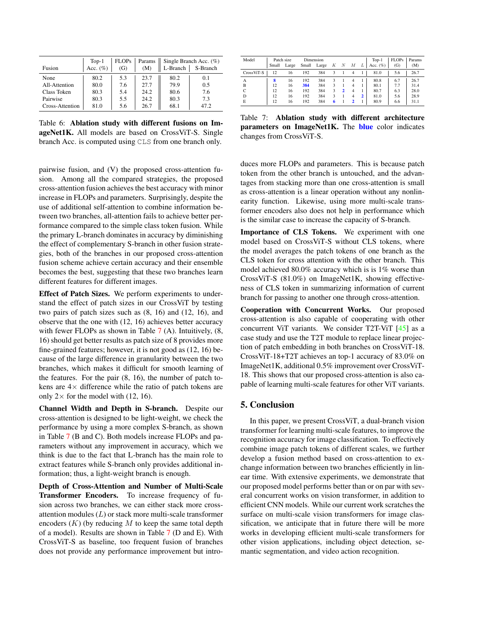| Fusion          | $Top-1$<br>Acc. $(\%)$ | <b>FLOPs</b><br>(G) | Params<br>(M) | L-Branch | Single Branch Acc. $(\%)$<br>S-Branch |
|-----------------|------------------------|---------------------|---------------|----------|---------------------------------------|
| None            | 80.2                   | 5.3                 | 23.7          | 80.2     | 0.1                                   |
| All-Attention   | 80.0                   | 7.6                 | 27.7          | 79.9     | 0.5                                   |
| Class Token     | 80.3                   | 5.4                 | 24.2          | 80.6     | 7.6                                   |
| Pairwise        | 80.3                   | 5.5                 | 24.2          | 80.3     | 7.3                                   |
| Cross-Attention | 81.0                   | 5.6                 | 26.7          | 68.1     | 47.2                                  |

Table 6: Ablation study with different fusions on ImageNet1K. All models are based on CrossViT-S. Single branch Acc. is computed using CLS from one branch only.

pairwise fusion, and (V) the proposed cross-attention fusion. Among all the compared strategies, the proposed cross-attention fusion achieves the best accuracy with minor increase in FLOPs and parameters. Surprisingly, despite the use of additional self-attention to combine information between two branches, all-attention fails to achieve better performance compared to the simple class token fusion. While the primary L-branch dominates in accuracy by diminishing the effect of complementary S-branch in other fusion strategies, both of the branches in our proposed cross-attention fusion scheme achieve certain accuracy and their ensemble becomes the best, suggesting that these two branches learn different features for different images.

Effect of Patch Sizes. We perform experiments to understand the effect of patch sizes in our CrossViT by testing two pairs of patch sizes such as (8, 16) and (12, 16), and observe that the one with (12, 16) achieves better accuracy with fewer FLOPs as shown in Table 7 (A). Intuitively,  $(8, 8)$ 16) should get better results as patch size of 8 provides more fine-grained features; however, it is not good as (12, 16) because of the large difference in granularity between the two branches, which makes it difficult for smooth learning of the features. For the pair (8, 16), the number of patch tokens are  $4\times$  difference while the ratio of patch tokens are only  $2 \times$  for the model with (12, 16).

Channel Width and Depth in S-branch. Despite our cross-attention is designed to be light-weight, we check the performance by using a more complex S-branch, as shown in Table 7 (B and C). Both models increase FLOPs and parameters without any improvement in accuracy, which we think is due to the fact that L-branch has the main role to extract features while S-branch only provides additional information; thus, a light-weight branch is enough.

Depth of Cross-Attention and Number of Multi-Scale Transformer Encoders. To increase frequency of fusion across two branches, we can either stack more crossattention modules  $(L)$  or stack more multi-scale transformer encoders  $(K)$  (by reducing  $M$  to keep the same total depth of a model). Results are shown in Table 7 (D and E). With CrossViT-S as baseline, too frequent fusion of branches does not provide any performance improvement but intro-

| Model      | Patch size |       | Dimension |       |   |              |   | $Top-1$        | <b>FLOPs</b> | Params |      |
|------------|------------|-------|-----------|-------|---|--------------|---|----------------|--------------|--------|------|
|            | Small      | Large | Small     | Large | К | N            | М |                | Acc. $(\%)$  | (G)    | (M)  |
| CrossViT-S | 12         | 16    | 192       | 384   | 3 |              | 4 |                | 81.0         | 5.6    | 26.7 |
| А          | 8          | 16    | 192       | 384   | 3 |              |   |                | 80.8         | 6.7    | 26.7 |
| B          | 12         | 16    | 384       | 384   | 3 |              | 4 |                | 80.1         | 7.7    | 31.4 |
| C          | 12         | 16    | 192       | 384   | 3 | $\mathbf{a}$ | 4 |                | 80.7         | 6.3    | 28.0 |
| D          | 12         | 16    | 192       | 384   | 3 |              | 4 | $\overline{2}$ | 81.0         | 5.6    | 28.9 |
| E          | 12         | 16    | 192       | 384   |   |              | 2 |                | 80.9         | 6.6    | 31.1 |

Table 7: Ablation study with different architecture parameters on ImageNet1K. The blue color indicates changes from CrossViT-S.

duces more FLOPs and parameters. This is because patch token from the other branch is untouched, and the advantages from stacking more than one cross-attention is small as cross-attention is a linear operation without any nonlinearity function. Likewise, using more multi-scale transformer encoders also does not help in performance which is the similar case to increase the capacity of S-branch.

Importance of CLS Tokens. We experiment with one model based on CrossViT-S without CLS tokens, where the model averages the patch tokens of one branch as the CLS token for cross attention with the other branch. This model achieved 80.0% accuracy which is is 1% worse than CrossViT-S (81.0%) on ImageNet1K, showing effectiveness of CLS token in summarizing information of current branch for passing to another one through cross-attention.

Cooperation with Concurrent Works. Our proposed cross-attention is also capable of cooperating with other concurrent ViT variants. We consider T2T-ViT [45] as a case study and use the T2T module to replace linear projection of patch embedding in both branches on CrossViT-18. CrossViT-18+T2T achieves an top-1 accuracy of 83.0% on ImageNet1K, additional 0.5% improvement over CrossViT-18. This shows that our proposed cross-attention is also capable of learning multi-scale features for other ViT variants.

## 5. Conclusion

In this paper, we present CrossViT, a dual-branch vision transformer for learning multi-scale features, to improve the recognition accuracy for image classification. To effectively combine image patch tokens of different scales, we further develop a fusion method based on cross-attention to exchange information between two branches efficiently in linear time. With extensive experiments, we demonstrate that our proposed model performs better than or on par with several concurrent works on vision transformer, in addition to efficient CNN models. While our current work scratches the surface on multi-scale vision transformers for image classification, we anticipate that in future there will be more works in developing efficient multi-scale transformers for other vision applications, including object detection, semantic segmentation, and video action recognition.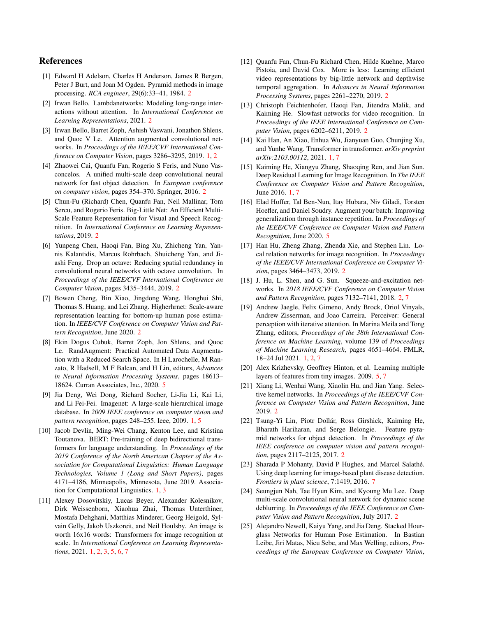## References

- [1] Edward H Adelson, Charles H Anderson, James R Bergen, Peter J Burt, and Joan M Ogden. Pyramid methods in image processing. *RCA engineer*, 29(6):33–41, 1984. 2
- [2] Irwan Bello. Lambdanetworks: Modeling long-range interactions without attention. In *International Conference on Learning Representations*, 2021. 2
- [3] Irwan Bello, Barret Zoph, Ashish Vaswani, Jonathon Shlens, and Quoc V Le. Attention augmented convolutional networks. In *Proceedings of the IEEE/CVF International Conference on Computer Vision*, pages 3286–3295, 2019. 1, 2
- [4] Zhaowei Cai, Quanfu Fan, Rogerio S Feris, and Nuno Vasconcelos. A unified multi-scale deep convolutional neural network for fast object detection. In *European conference on computer vision*, pages 354–370. Springer, 2016. 2
- [5] Chun-Fu (Richard) Chen, Quanfu Fan, Neil Mallinar, Tom Sercu, and Rogerio Feris. Big-Little Net: An Efficient Multi-Scale Feature Representation for Visual and Speech Recognition. In *International Conference on Learning Representations*, 2019. 2
- [6] Yunpeng Chen, Haoqi Fan, Bing Xu, Zhicheng Yan, Yannis Kalantidis, Marcus Rohrbach, Shuicheng Yan, and Jiashi Feng. Drop an octave: Reducing spatial redundancy in convolutional neural networks with octave convolution. In *Proceedings of the IEEE/CVF International Conference on Computer Vision*, pages 3435–3444, 2019. 2
- [7] Bowen Cheng, Bin Xiao, Jingdong Wang, Honghui Shi, Thomas S. Huang, and Lei Zhang. Higherhrnet: Scale-aware representation learning for bottom-up human pose estimation. In *IEEE/CVF Conference on Computer Vision and Pattern Recognition*, June 2020. 2
- [8] Ekin Dogus Cubuk, Barret Zoph, Jon Shlens, and Quoc Le. RandAugment: Practical Automated Data Augmentation with a Reduced Search Space. In H Larochelle, M Ranzato, R Hadsell, M F Balcan, and H Lin, editors, *Advances in Neural Information Processing Systems*, pages 18613– 18624. Curran Associates, Inc., 2020. 5
- [9] Jia Deng, Wei Dong, Richard Socher, Li-Jia Li, Kai Li, and Li Fei-Fei. Imagenet: A large-scale hierarchical image database. In *2009 IEEE conference on computer vision and pattern recognition*, pages 248–255. Ieee, 2009. 1, 5
- [10] Jacob Devlin, Ming-Wei Chang, Kenton Lee, and Kristina Toutanova. BERT: Pre-training of deep bidirectional transformers for language understanding. In *Proceedings of the 2019 Conference of the North American Chapter of the Association for Computational Linguistics: Human Language Technologies, Volume 1 (Long and Short Papers)*, pages 4171–4186, Minneapolis, Minnesota, June 2019. Association for Computational Linguistics. 1, 3
- [11] Alexey Dosovitskiy, Lucas Beyer, Alexander Kolesnikov, Dirk Weissenborn, Xiaohua Zhai, Thomas Unterthiner, Mostafa Dehghani, Matthias Minderer, Georg Heigold, Sylvain Gelly, Jakob Uszkoreit, and Neil Houlsby. An image is worth 16x16 words: Transformers for image recognition at scale. In *International Conference on Learning Representations*, 2021. 1, 2, 3, 5, 6, 7
- [12] Quanfu Fan, Chun-Fu Richard Chen, Hilde Kuehne, Marco Pistoia, and David Cox. More is less: Learning efficient video representations by big-little network and depthwise temporal aggregation. In *Advances in Neural Information Processing Systems*, pages 2261–2270, 2019. 2
- [13] Christoph Feichtenhofer, Haoqi Fan, Jitendra Malik, and Kaiming He. Slowfast networks for video recognition. In *Proceedings of the IEEE International Conference on Computer Vision*, pages 6202–6211, 2019. 2
- [14] Kai Han, An Xiao, Enhua Wu, Jianyuan Guo, Chunjing Xu, and Yunhe Wang. Transformer in transformer. *arXiv preprint arXiv:2103.00112*, 2021. 1, 7
- [15] Kaiming He, Xiangyu Zhang, Shaoqing Ren, and Jian Sun. Deep Residual Learning for Image Recognition. In *The IEEE Conference on Computer Vision and Pattern Recognition*, June 2016. 1, 7
- [16] Elad Hoffer, Tal Ben-Nun, Itay Hubara, Niv Giladi, Torsten Hoefler, and Daniel Soudry. Augment your batch: Improving generalization through instance repetition. In *Proceedings of the IEEE/CVF Conference on Computer Vision and Pattern Recognition*, June 2020. 5
- [17] Han Hu, Zheng Zhang, Zhenda Xie, and Stephen Lin. Local relation networks for image recognition. In *Proceedings of the IEEE/CVF International Conference on Computer Vision*, pages 3464–3473, 2019. 2
- [18] J. Hu, L. Shen, and G. Sun. Squeeze-and-excitation networks. In *2018 IEEE/CVF Conference on Computer Vision and Pattern Recognition*, pages 7132–7141, 2018. 2, 7
- [19] Andrew Jaegle, Felix Gimeno, Andy Brock, Oriol Vinyals, Andrew Zisserman, and Joao Carreira. Perceiver: General perception with iterative attention. In Marina Meila and Tong Zhang, editors, *Proceedings of the 38th International Conference on Machine Learning*, volume 139 of *Proceedings of Machine Learning Research*, pages 4651–4664. PMLR, 18–24 Jul 2021. 1, 2, 7
- [20] Alex Krizhevsky, Geoffrey Hinton, et al. Learning multiple layers of features from tiny images. 2009. 5, 7
- [21] Xiang Li, Wenhai Wang, Xiaolin Hu, and Jian Yang. Selective kernel networks. In *Proceedings of the IEEE/CVF Conference on Computer Vision and Pattern Recognition*, June 2019. 2
- [22] Tsung-Yi Lin, Piotr Dollár, Ross Girshick, Kaiming He, Bharath Hariharan, and Serge Belongie. Feature pyramid networks for object detection. In *Proceedings of the IEEE conference on computer vision and pattern recognition*, pages 2117–2125, 2017. 2
- [23] Sharada P Mohanty, David P Hughes, and Marcel Salathé. Using deep learning for image-based plant disease detection. *Frontiers in plant science*, 7:1419, 2016. 7
- [24] Seungjun Nah, Tae Hyun Kim, and Kyoung Mu Lee. Deep multi-scale convolutional neural network for dynamic scene deblurring. In *Proceedings of the IEEE Conference on Computer Vision and Pattern Recognition*, July 2017. 2
- [25] Alejandro Newell, Kaiyu Yang, and Jia Deng. Stacked Hourglass Networks for Human Pose Estimation. In Bastian Leibe, Jiri Matas, Nicu Sebe, and Max Welling, editors, *Proceedings of the European Conference on Computer Vision*,